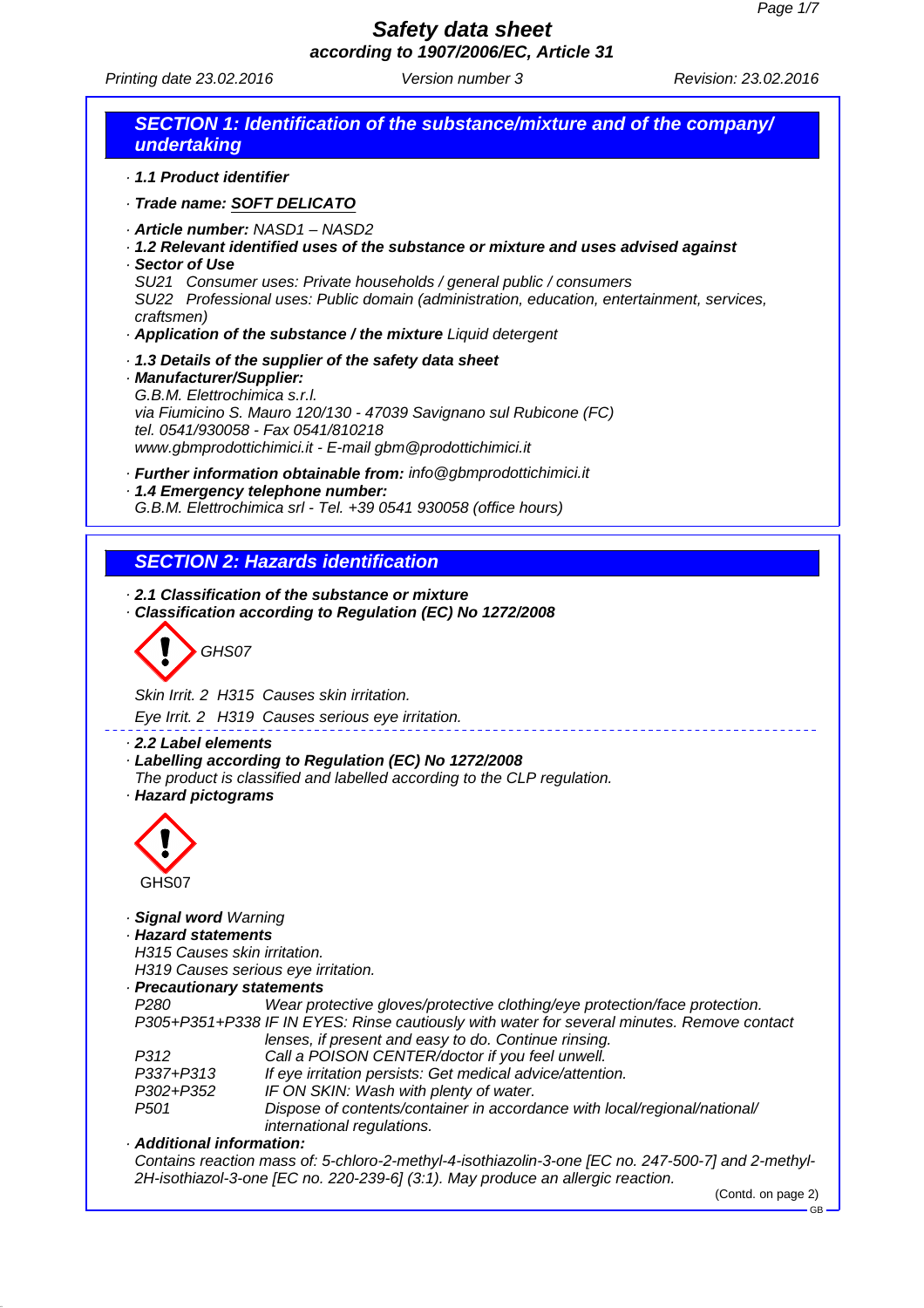Printing date 23.02.2016 **Version number 3** Revision: 23.02.2016

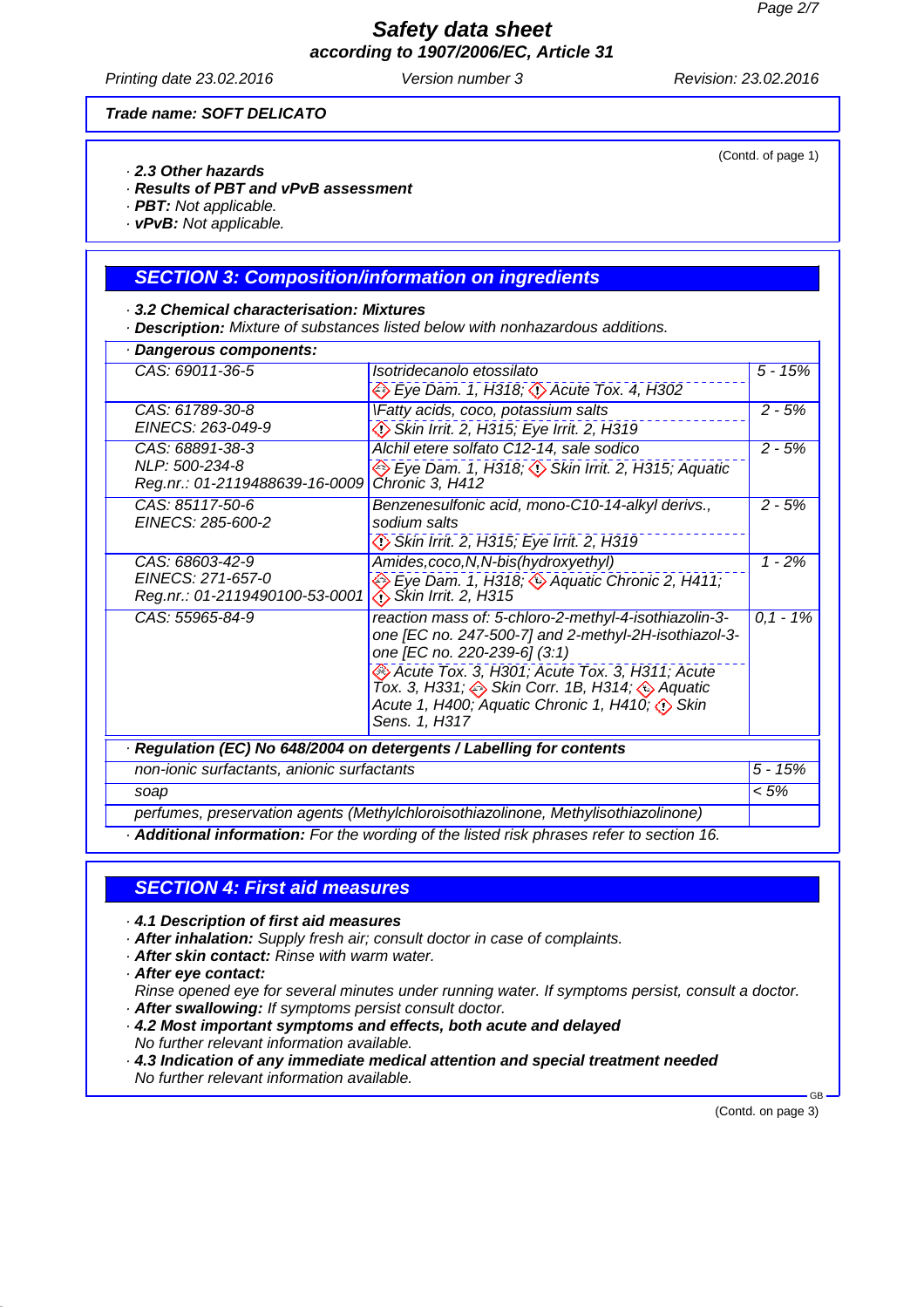Printing date 23.02.2016 **Version number 3** Revision: 23.02.2016

#### *Trade name: SOFT DELICATO*

- *· 2.3 Other hazards*
- *· Results of PBT and vPvB assessment*
- *· PBT: Not applicable.*
- *· vPvB: Not applicable.*

### *SECTION 3: Composition/information on ingredients*

- *· 3.2 Chemical characterisation: Mixtures*
- *· Description: Mixture of substances listed below with nonhazardous additions.*

| CAS: 69011-36-5                                     | Isotridecanolo etossilato                                                                                                                                                      | $5 - 15%$    |
|-----------------------------------------------------|--------------------------------------------------------------------------------------------------------------------------------------------------------------------------------|--------------|
|                                                     | Eye Dam. 1, H318; <>>> Acute Tox. 4, H302                                                                                                                                      |              |
| CAS: 61789-30-8                                     | VFatty acids, coco, potassium salts                                                                                                                                            | $2 - 5%$     |
| EINECS: 263-049-9                                   | Skin Irrit. 2, H315; Eye Irrit. 2, H319                                                                                                                                        |              |
| CAS: 68891-38-3                                     | Alchil etere solfato C12-14, sale sodico                                                                                                                                       | $2 - 5%$     |
| NLP: 500-234-8<br>Reg.nr.: 01-2119488639-16-0009    | Eye Dam. 1, H318; (1) Skin Irrit. 2, H315; Aquatic<br>Chronic 3, H412                                                                                                          |              |
| CAS: 85117-50-6<br>EINECS: 285-600-2                | Benzenesulfonic acid, mono-C10-14-alkyl derivs.,<br>sodium salts                                                                                                               | $2 - 5%$     |
|                                                     | Skin Irrit. 2, H315; Eye Irrit. 2, H319                                                                                                                                        |              |
| CAS: 68603-42-9                                     | Amides, coco, N, N-bis (hydroxyethyl)                                                                                                                                          | $1 - 2%$     |
| EINECS: 271-657-0<br>Reg.nr.: 01-2119490100-53-0001 | Eye Dam. 1, H318; 4 Aquatic Chronic 2, H411;<br>$\bigotimes$ Skin Irrit. 2, H315                                                                                               |              |
| CAS: 55965-84-9                                     | reaction mass of: 5-chloro-2-methyl-4-isothiazolin-3-<br>one [EC no. 247-500-7] and 2-methyl-2H-isothiazol-3-<br>one [EC no. 220-239-6] (3:1)                                  | $0, 1 - 1\%$ |
|                                                     | Acute Tox. 3, H301; Acute Tox. 3, H311; Acute<br>Tox. 3, H331; $\iff$ Skin Corr. 1B, H314; $\iff$ Aquatic<br>Acute 1, H400; Aquatic Chronic 1, H410; (1) Skin<br>Sens. 1, H317 |              |
|                                                     | Regulation (EC) No 648/2004 on detergents / Labelling for contents                                                                                                             |              |
| non-ionic surfactants, anionic surfactants          |                                                                                                                                                                                | $5 - 15%$    |
| soap                                                |                                                                                                                                                                                | $< 5\%$      |
|                                                     | perfumes, preservation agents (Methylchloroisothiazolinone, Methylisothiazolinone)                                                                                             |              |

*· Additional information: For the wording of the listed risk phrases refer to section 16.*

## *SECTION 4: First aid measures*

- *· 4.1 Description of first aid measures*
- *· After inhalation: Supply fresh air; consult doctor in case of complaints.*
- *· After skin contact: Rinse with warm water.*
- *· After eye contact:*

*Rinse opened eye for several minutes under running water. If symptoms persist, consult a doctor. · After swallowing: If symptoms persist consult doctor.*

*· 4.2 Most important symptoms and effects, both acute and delayed No further relevant information available.*

*· 4.3 Indication of any immediate medical attention and special treatment needed No further relevant information available.*

(Contd. on page 3)

GB

(Contd. of page 1)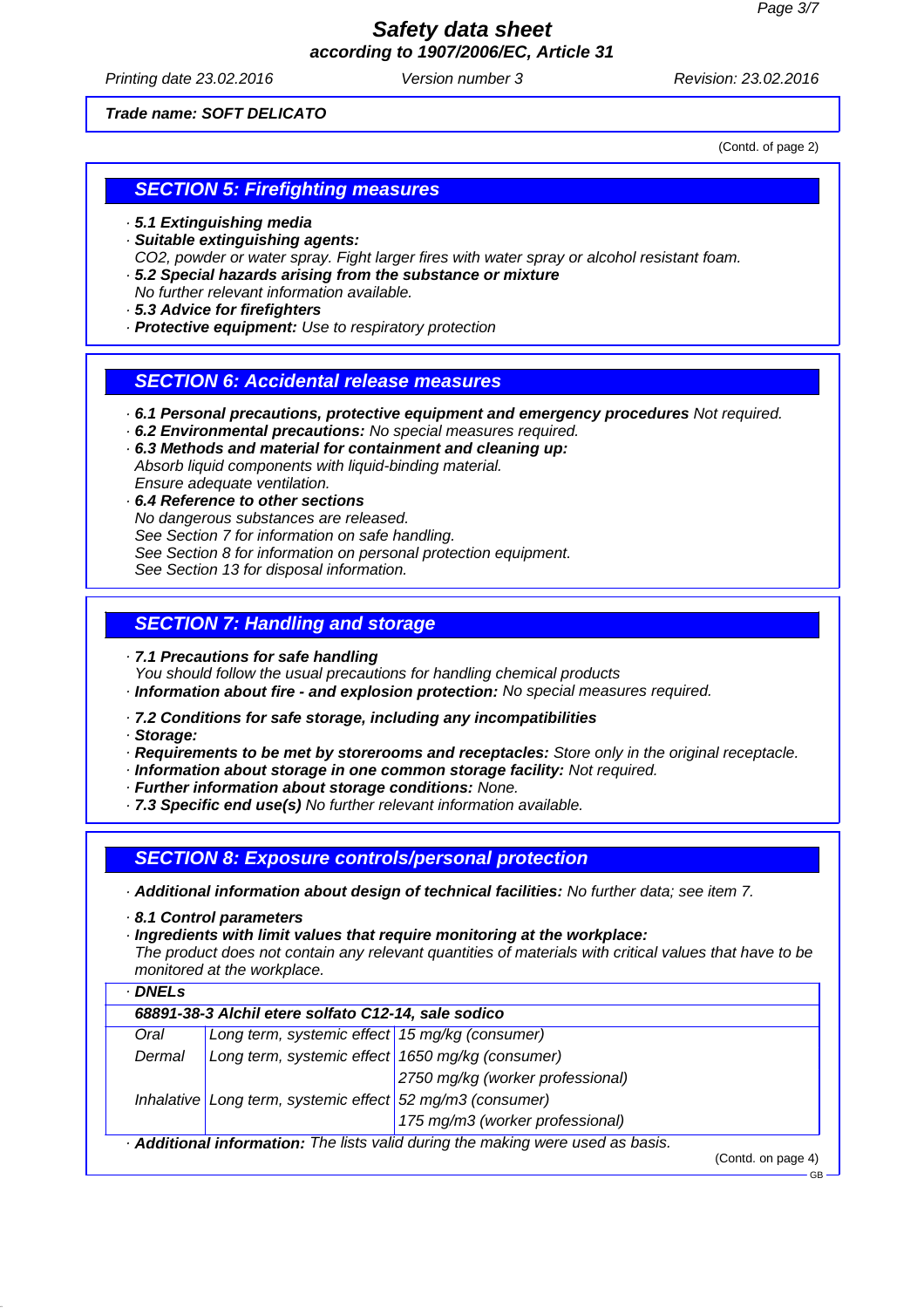Printing date 23.02.2016 **Version number 3** Revision: 23.02.2016

*Trade name: SOFT DELICATO*

(Contd. of page 2)

### *SECTION 5: Firefighting measures*

*· 5.1 Extinguishing media*

*· Suitable extinguishing agents:*

*CO2, powder or water spray. Fight larger fires with water spray or alcohol resistant foam.*

- *· 5.2 Special hazards arising from the substance or mixture*
- *No further relevant information available.*
- *· 5.3 Advice for firefighters*
- *· Protective equipment: Use to respiratory protection*

### *SECTION 6: Accidental release measures*

- *· 6.1 Personal precautions, protective equipment and emergency procedures Not required.*
- *· 6.2 Environmental precautions: No special measures required.*
- *· 6.3 Methods and material for containment and cleaning up: Absorb liquid components with liquid-binding material. Ensure adequate ventilation.*
- *· 6.4 Reference to other sections No dangerous substances are released. See Section 7 for information on safe handling. See Section 8 for information on personal protection equipment. See Section 13 for disposal information.*

## *SECTION 7: Handling and storage*

*· 7.1 Precautions for safe handling*

*You should follow the usual precautions for handling chemical products*

*· Information about fire - and explosion protection: No special measures required.*

*· 7.2 Conditions for safe storage, including any incompatibilities*

*· Storage:*

- *· Requirements to be met by storerooms and receptacles: Store only in the original receptacle.*
- *· Information about storage in one common storage facility: Not required.*
- *· Further information about storage conditions: None.*
- *· 7.3 Specific end use(s) No further relevant information available.*

*SECTION 8: Exposure controls/personal protection*

*· Additional information about design of technical facilities: No further data; see item 7.*

*· 8.1 Control parameters*

*· Ingredients with limit values that require monitoring at the workplace:*

*The product does not contain any relevant quantities of materials with critical values that have to be monitored at the workplace.*

| Oral   | 68891-38-3 Alchil etere solfato C12-14, sale sodico<br>Long term, systemic effect 15 mg/kg (consumer) |                                  |  |
|--------|-------------------------------------------------------------------------------------------------------|----------------------------------|--|
|        |                                                                                                       |                                  |  |
| Dermal | Long term, systemic effect 1650 mg/kg (consumer)                                                      |                                  |  |
|        |                                                                                                       | 2750 mg/kg (worker professional) |  |
|        | Inhalative Long term, systemic effect 52 mg/m3 (consumer)                                             |                                  |  |
|        |                                                                                                       | 175 mg/m3 (worker professional)  |  |

GB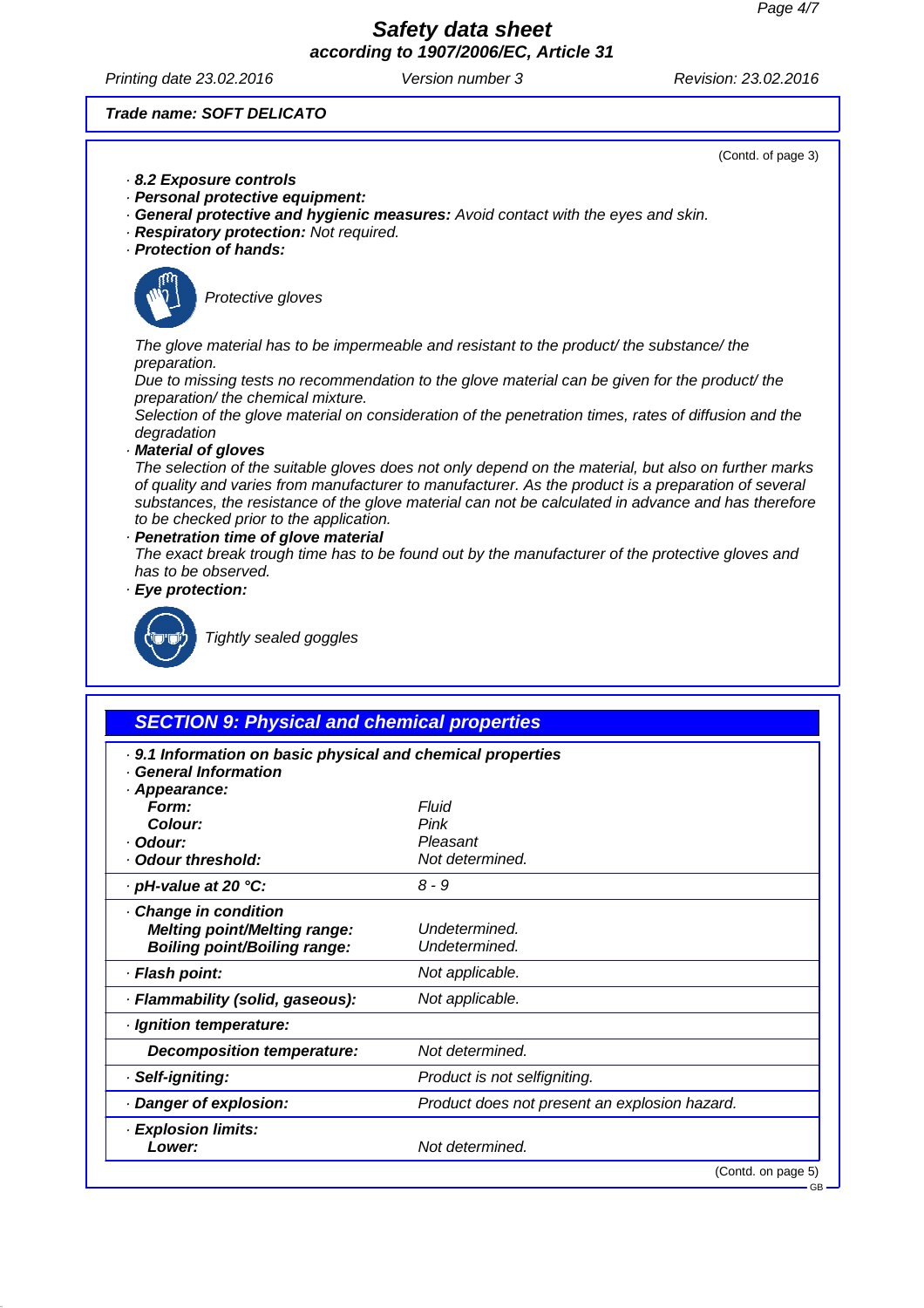Printing date 23.02.2016 **Version number 3** Revision: 23.02.2016

*Trade name: SOFT DELICATO*

- *· 8.2 Exposure controls*
- *· Personal protective equipment:*
- *· General protective and hygienic measures: Avoid contact with the eyes and skin.*
- *· Respiratory protection: Not required.*
- *· Protection of hands:*



*Protective gloves*

*The glove material has to be impermeable and resistant to the product/ the substance/ the preparation.*

*Due to missing tests no recommendation to the glove material can be given for the product/ the preparation/ the chemical mixture.*

*Selection of the glove material on consideration of the penetration times, rates of diffusion and the degradation*

*· Material of gloves*

*The selection of the suitable gloves does not only depend on the material, but also on further marks of quality and varies from manufacturer to manufacturer. As the product is a preparation of several substances, the resistance of the glove material can not be calculated in advance and has therefore to be checked prior to the application.*

*· Penetration time of glove material*

*The exact break trough time has to be found out by the manufacturer of the protective gloves and has to be observed.*

*· Eye protection:*



*Tightly sealed goggles*

| <b>SECTION 9: Physical and chemical properties</b>          |                                               |  |
|-------------------------------------------------------------|-----------------------------------------------|--|
| . 9.1 Information on basic physical and chemical properties |                                               |  |
| · General Information                                       |                                               |  |
| · Appearance:<br>Form:                                      | Fluid                                         |  |
| Colour:                                                     | Pink                                          |  |
| · Odour:                                                    | Pleasant                                      |  |
| · Odour threshold:                                          | Not determined.                               |  |
| $\cdot$ pH-value at 20 $\degree$ C:                         | 8 - 9                                         |  |
| Change in condition                                         |                                               |  |
| <b>Melting point/Melting range:</b>                         | Undetermined.                                 |  |
| <b>Boiling point/Boiling range:</b>                         | Undetermined.                                 |  |
| · Flash point:                                              | Not applicable.                               |  |
| · Flammability (solid, gaseous):                            | Not applicable.                               |  |
| · Ignition temperature:                                     |                                               |  |
| <b>Decomposition temperature:</b>                           | Not determined.                               |  |
| · Self-igniting:                                            | Product is not selfigniting.                  |  |
| Danger of explosion:                                        | Product does not present an explosion hazard. |  |
| · Explosion limits:                                         |                                               |  |
| Lower:                                                      | Not determined.                               |  |
|                                                             | (Contd. on page 5)                            |  |

(Contd. of page 3)

GB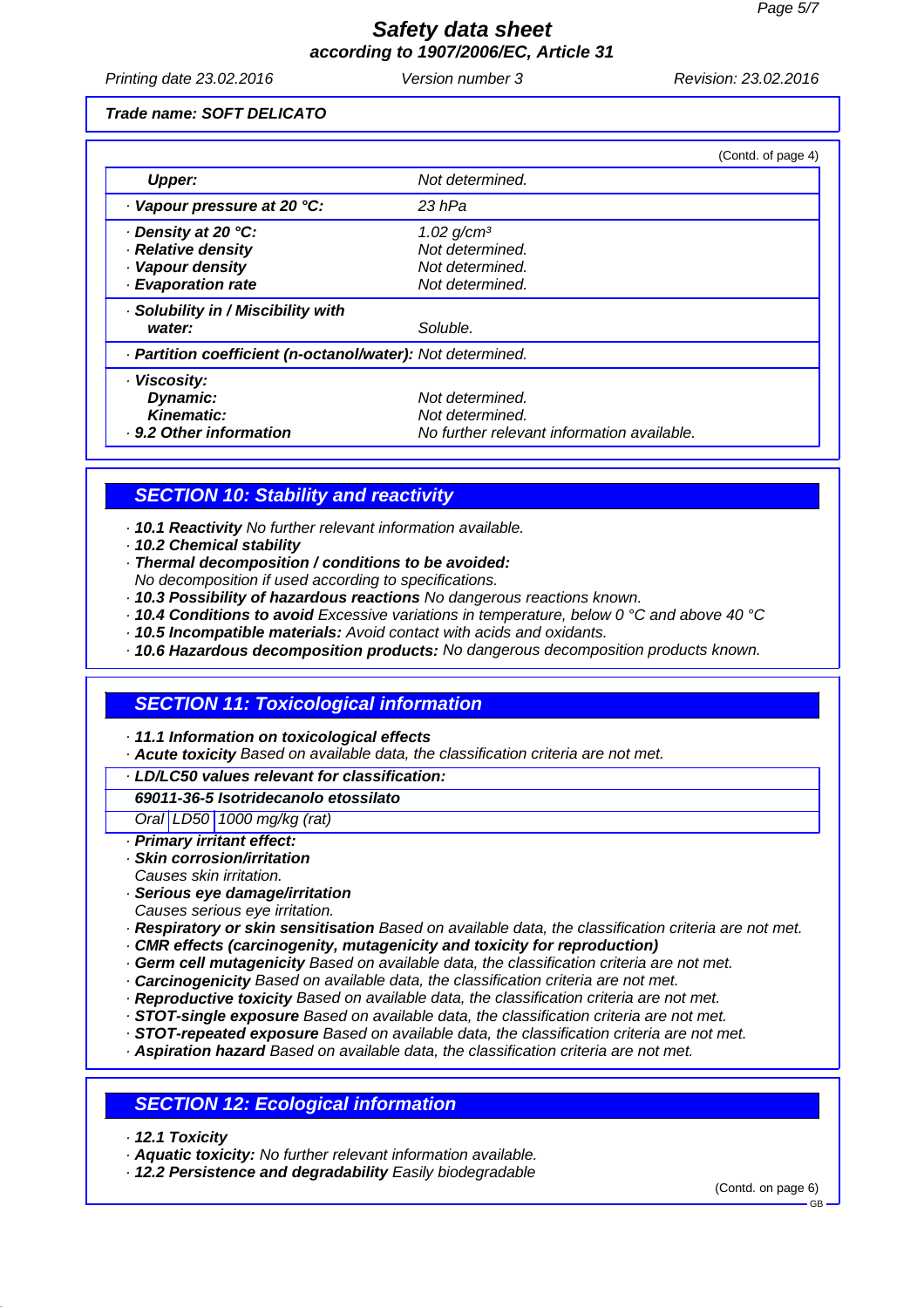Printing date 23.02.2016 **Version number 3** Revision: 23.02.2016

*Trade name: SOFT DELICATO*

|                                                            | (Contd. of page 4)                         |  |
|------------------------------------------------------------|--------------------------------------------|--|
| <b>Upper:</b>                                              | Not determined.                            |  |
| · Vapour pressure at 20 °C:                                | 23 hPa                                     |  |
| ⋅ Density at 20 °C:                                        | $1.02$ g/cm <sup>3</sup>                   |  |
| · Relative density                                         | Not determined.                            |  |
| · Vapour density                                           | Not determined.                            |  |
| · Evaporation rate                                         | Not determined.                            |  |
| · Solubility in / Miscibility with                         |                                            |  |
| water:                                                     | Soluble.                                   |  |
| · Partition coefficient (n-octanol/water): Not determined. |                                            |  |
| · Viscosity:                                               |                                            |  |
| Dynamic:                                                   | Not determined.                            |  |
| Kinematic:                                                 | Not determined.                            |  |
| . 9.2 Other information                                    | No further relevant information available. |  |

### *SECTION 10: Stability and reactivity*

*· 10.1 Reactivity No further relevant information available.*

- *· 10.2 Chemical stability*
- *· Thermal decomposition / conditions to be avoided:*
- *No decomposition if used according to specifications.*
- *· 10.3 Possibility of hazardous reactions No dangerous reactions known.*
- *· 10.4 Conditions to avoid Excessive variations in temperature, below 0 °C and above 40 °C*
- *· 10.5 Incompatible materials: Avoid contact with acids and oxidants.*
- *· 10.6 Hazardous decomposition products: No dangerous decomposition products known.*

### *SECTION 11: Toxicological information*

*· 11.1 Information on toxicological effects*

*· Acute toxicity Based on available data, the classification criteria are not met.*

#### *· LD/LC50 values relevant for classification:*

#### *69011-36-5 Isotridecanolo etossilato*

*Oral LD50 1000 mg/kg (rat)*

- *· Primary irritant effect:*
- *· Skin corrosion/irritation*
- *Causes skin irritation.*
- *· Serious eye damage/irritation*
- *Causes serious eye irritation.*
- *· Respiratory or skin sensitisation Based on available data, the classification criteria are not met.*
- *· CMR effects (carcinogenity, mutagenicity and toxicity for reproduction)*
- *· Germ cell mutagenicity Based on available data, the classification criteria are not met.*
- *· Carcinogenicity Based on available data, the classification criteria are not met.*
- *· Reproductive toxicity Based on available data, the classification criteria are not met.*
- *· STOT-single exposure Based on available data, the classification criteria are not met.*
- *· STOT-repeated exposure Based on available data, the classification criteria are not met.*
- *· Aspiration hazard Based on available data, the classification criteria are not met.*

### *SECTION 12: Ecological information*

- *· 12.1 Toxicity*
- *· Aquatic toxicity: No further relevant information available.*
- *· 12.2 Persistence and degradability Easily biodegradable*

(Contd. on page 6)

GB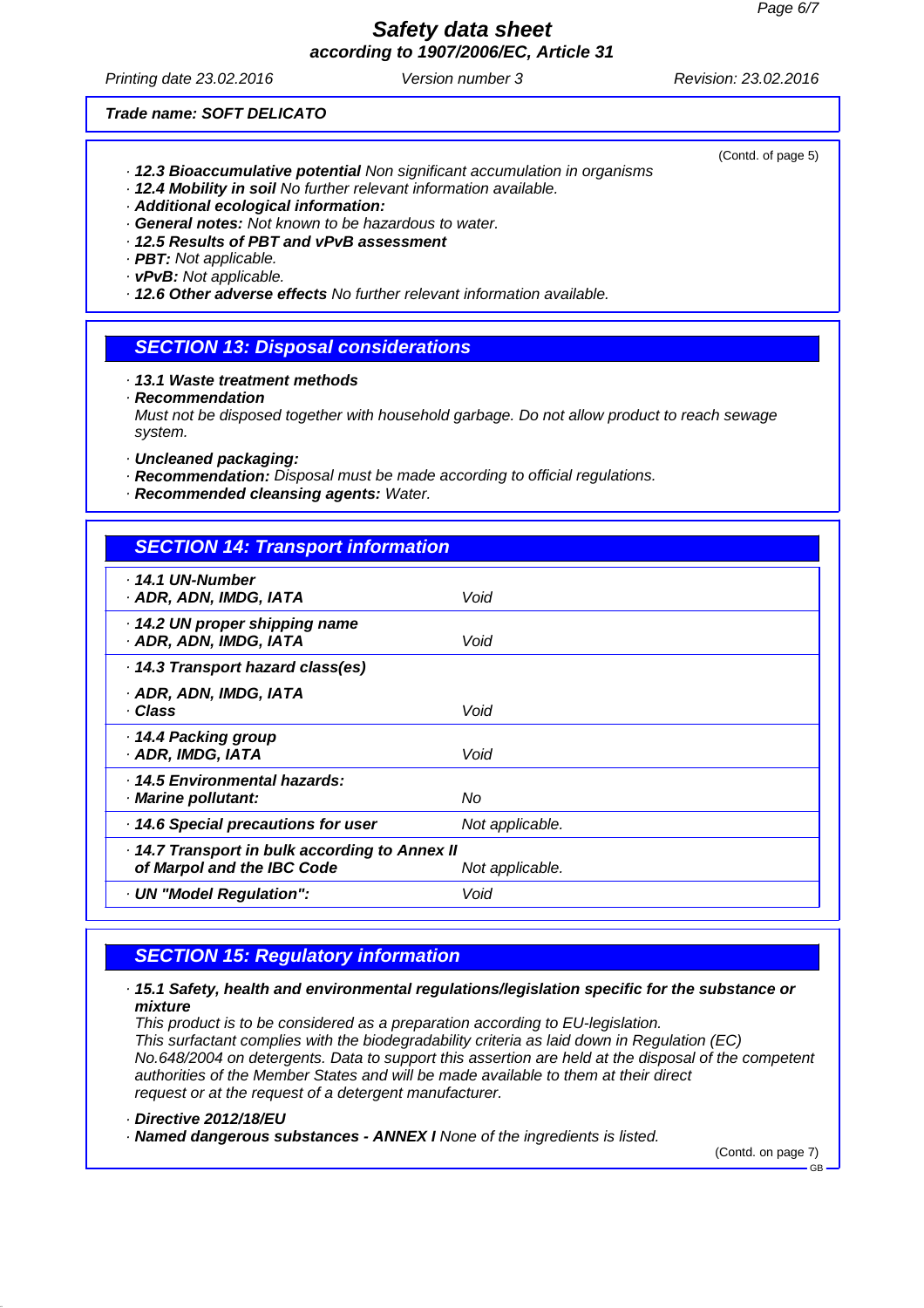# *Safety data sheet*

*according to 1907/2006/EC, Article 31*

Printing date 23.02.2016 **Version number 3** Revision: 23.02.2016

(Contd. of page 5)

*Trade name: SOFT DELICATO*

- *· 12.3 Bioaccumulative potential Non significant accumulation in organisms*
- *· 12.4 Mobility in soil No further relevant information available.*
- *· Additional ecological information:*
- *· General notes: Not known to be hazardous to water.*
- *· 12.5 Results of PBT and vPvB assessment*
- *· PBT: Not applicable.*
- *· vPvB: Not applicable.*

*· 12.6 Other adverse effects No further relevant information available.*

- *SECTION 13: Disposal considerations*
- *· 13.1 Waste treatment methods*
- *· Recommendation*

*Must not be disposed together with household garbage. Do not allow product to reach sewage system.*

- *· Uncleaned packaging:*
- *· Recommendation: Disposal must be made according to official regulations.*
- *· Recommended cleansing agents: Water.*

| <b>SECTION 14: Transport information</b>                                                      |                 |  |
|-----------------------------------------------------------------------------------------------|-----------------|--|
| $\cdot$ 14.1 UN-Number<br>· ADR, ADN, IMDG, IATA                                              | Void            |  |
| 14.2 UN proper shipping name<br>· ADR, ADN, IMDG, IATA                                        | Void            |  |
| 14.3 Transport hazard class(es)                                                               |                 |  |
| · ADR, ADN, IMDG, IATA<br>· Class                                                             | Void            |  |
| ⋅ 14.4 Packing group<br>· ADR, IMDG, IATA                                                     | Void            |  |
| · 14.5 Environmental hazards:<br>· Marine pollutant:                                          | No              |  |
| 14.6 Special precautions for user                                                             | Not applicable. |  |
| 14.7 Transport in bulk according to Annex II<br>of Marpol and the IBC Code<br>Not applicable. |                 |  |
| · UN "Model Regulation":                                                                      | Void            |  |

## *SECTION 15: Regulatory information*

#### *· 15.1 Safety, health and environmental regulations/legislation specific for the substance or mixture*

*This product is to be considered as a preparation according to EU-legislation. This surfactant complies with the biodegradability criteria as laid down in Regulation (EC) No.648/2004 on detergents. Data to support this assertion are held at the disposal of the competent authorities of the Member States and will be made available to them at their direct request or at the request of a detergent manufacturer.*

```
· Directive 2012/18/EU
```
*· Named dangerous substances - ANNEX I None of the ingredients is listed.*

(Contd. on page 7)

GB